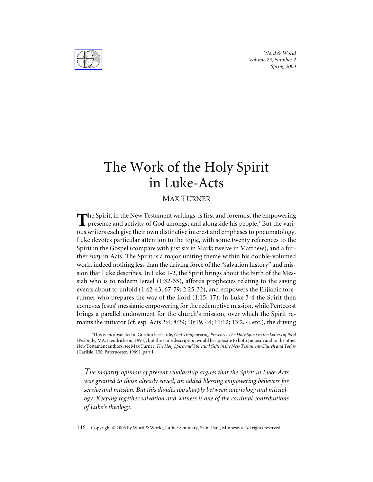*Word & World Volume 23, Number 2 Spring 2003*

# The Work of the Holy Spirit in Luke-Acts

# MAX TURNER

The Spirit, in the New Testament writings, is first and foremost the empowering<br>presence and activity of God amongst and algorithe history in the property presence and activity of God amongst and alongside his people.<sup>1</sup> But the various writers each give their own distinctive interest and emphases to pneumatology. Luke devotes particular attention to the topic, with some twenty references to the Spirit in the Gospel (compare with just six in Mark; twelve in Matthew), and a further *sixty* in Acts. The Spirit is a major uniting theme within his double-volumed work, indeed nothing less than the driving force of the "salvation history" and mission that Luke describes. In Luke 1-2, the Spirit brings about the birth of the Messiah who is to redeem Israel (1:32-35), affords prophecies relating to the saving events about to unfold (1:42-43, 67-79; 2:25-32), and empowers the Elijianic forerunner who prepares the way of the Lord (1:15, 17). In Luke 3-4 the Spirit then comes as Jesus' messianic empowering for the redemptive mission, while Pentecost brings a parallel endowment for the church's mission, over which the Spirit remains the initiator (cf. esp. Acts 2:4; 8:29; 10:19, 44; 11:12; 13:2, 4; etc.), the driving

<sup>1</sup>This is encapsulated in Gordon Fee's title, *God's Empowering Presence: The Holy Spirit in the Letters of Paul* (Peabody, MA: Hendrickson, 1994), but the same description would be apposite to both Judaism and to the other New Testament authors: see Max Turner,*The Holy Spirit and Spiritual Gifts in the New Testament Church and Today* (Carlisle, UK: Paternoster, 1999), part I.

*The majority opinion of present scholarship argues that the Spirit in Luke-Acts was granted to those already saved, an added blessing empowering believers for service and mission. But this divides too sharply between soteriology and missiology. Keeping together salvation and witness is one of the cardinal contributions of Luke's theology.*

146 Copyright © 2003 by Word & World, Luther Seminary, Saint Paul, Minnesota. All rights reserved.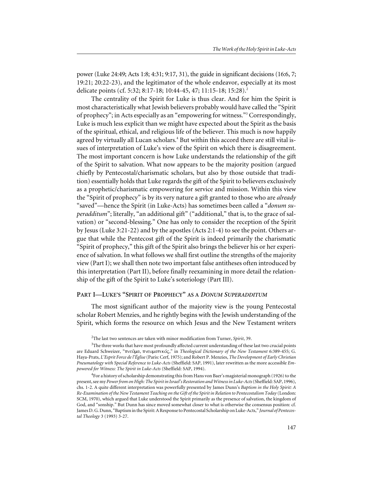power (Luke 24:49; Acts 1:8; 4:31; 9:17, 31), the guide in significant decisions (16:6, 7; 19:21; 20:22-23), and the legitimator of the whole endeavor, especially at its most delicate points (cf. 5:32; 8:17-18; 10:44-45, 47; 11:15-18; 15:28).<sup>2</sup>

The centrality of the Spirit for Luke is thus clear. And for him the Spirit is most characteristically what Jewish believers probably would have called the "Spirit of prophecy"; in Acts especially as an "empowering for witness."3 Correspondingly, Luke is much less explicit than we might have expected about the Spirit as the basis of the spiritual, ethical, and religious life of the believer. This much is now happily agreed by virtually all Lucan scholars.<sup>4</sup> But within this accord there are still vital issues of interpretation of Luke's view of the Spirit on which there is disagreement. The most important concern is how Luke understands the relationship of the gift of the Spirit to salvation. What now appears to be the majority position (argued chiefly by Pentecostal/charismatic scholars, but also by those outside that tradition) essentially holds that Luke regards the gift of the Spirit to believers exclusively as a prophetic/charismatic empowering for service and mission. Within this view the "Spirit of prophecy" is by its very nature a gift granted to those who are *already* "saved"—hence the Spirit (in Luke-Acts) has sometimes been called a "*donum superadditum*"; literally, "an additional gift" ("additional," that is, to the grace of salvation) or "second-blessing." One has only to consider the reception of the Spirit by Jesus (Luke 3:21-22) and by the apostles (Acts 2:1-4) to see the point. Others argue that while the Pentecost gift of the Spirit is indeed primarily the charismatic "Spirit of prophecy," this gift of the Spirit also brings the believer his or her experience of salvation. In what follows we shall first outline the strengths of the majority view (Part I); we shall then note two important false antitheses often introduced by this interpretation (Part II), before finally reexamining in more detail the relationship of the gift of the Spirit to Luke's soteriology (Part III).

#### **PART I—LUKE'S "SPIRIT OF PROPHECY" AS A** *DONUM SUPERADDITUM*

The most significant author of the majority view is the young Pentecostal scholar Robert Menzies, and he rightly begins with the Jewish understanding of the Spirit, which forms the resource on which Jesus and the New Testament writers

<sup>2</sup> The last two sentences are taken with minor modification from Turner, *Spirit*, 39.

<sup>&</sup>lt;sup>3</sup>The three works that have most profoundly affected current understanding of these last two crucial points are Eduard Schweizer, "πνεῦμα, πνευματικός," in *Theological Dictionary of the New Testament* 6:389-455; G. Haya-Prats, *L'Esprit Force de l'Église*(Paris: Cerf, 1975); and Robert P. Menzies, *The Development of Early Christian Pneumatology with Special Reference to Luke-Acts* (Sheffield: SAP, 1991), later rewritten as the more accessible *Empowered for Witness: The Spirit in Luke-Acts* (Sheffield: SAP, 1994).

<sup>&</sup>lt;sup>4</sup> For a history of scholarship demonstrating this from Hans von Baer's magisterial monograph (1926) to the present, see my *Power from on High: The Spirit in Israel's Restoration and Witness in Luke-Acts*(Sheffield: SAP, 1996), chs. 1-2. A quite different interpretation was powerfully presented by James Dunn's *Baptism in the Holy Spirit: A Re-Examination of the New Testament Teaching on the Gift of the Spirit in Relation to Pentecostalism Today* (London: SCM, 1970), which argued that Luke understood the Spirit primarily as the presence of salvation, the kingdom of God, and "sonship." But Dunn has since moved somewhat closer to what is otherwise the consensus position: cf. James D. G. Dunn, "Baptism in the Spirit: A Response to Pentecostal Scholarship on Luke-Acts," *Journal of Pentecostal Theology* 3 (1993) 3-27.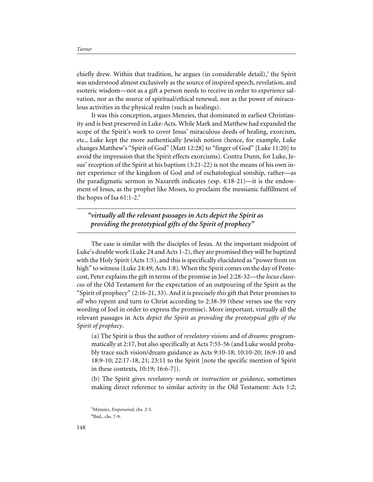chiefly drew. Within that tradition, he argues (in considerable detail),<sup>5</sup> the Spirit was understood almost exclusively as the source of inspired speech, revelation, and esoteric wisdom—not as a gift a person needs to receive in order to *experience* salvation, nor as the source of spiritual/ethical renewal, nor as the power of miraculous activities in the physical realm (such as healings).

It was this conception, argues Menzies, that dominated in earliest Christianity and is best preserved in Luke-Acts. While Mark and Matthew had expanded the scope of the Spirit's work to cover Jesus' miraculous deeds of healing, exorcism, etc., Luke kept the more authentically Jewish notion (hence, for example, Luke changes Matthew's "Spirit of God" [Matt 12:28] to "finger of God" [Luke 11:20] to avoid the impression that the Spirit effects exorcisms). Contra Dunn, for Luke, Jesus' reception of the Spirit at his baptism (3:21-22) is not the means of his own inner experience of the kingdom of God and of eschatological sonship, rather—as the paradigmatic sermon in Nazareth indicates (esp. 4:18-21)—it is the endowment of Jesus, as the prophet like Moses, to proclaim the messianic fulfillment of the hopes of Isa 61:1-2.<sup>6</sup>

*"virtually all the relevant passages in Acts depict the Spirit as providing the prototypical gifts of the Spirit of prophecy"*

The case is similar with the disciples of Jesus. At the important midpoint of Luke's double work (Luke 24 and Acts 1-2), they are promised they will be baptized with the Holy Spirit (Acts 1:5), and this is specifically elucidated as "power from on high" to witness (Luke 24:49; Acts 1:8). When the Spirit comes on the day of Pentecost, Peter explains the gift in terms of the promise in Joel 2:28-32—the *locus classicus* of the Old Testament for the expectation of an outpouring of the Spirit as the "Spirit of prophecy" (2:16-21, 33). And it is precisely *this* gift that Peter promises to *all* who repent and turn to Christ according to 2:38-39 (these verses use the very wording of Joel in order to express the promise). More important, virtually all the relevant passages in Acts *depict the Spirit as providing the prototypical gifts of the Spirit of prophecy*.

(a) The Spirit is thus the author of *revelatory visions* and of *dreams*: programmatically at 2:17, but also specifically at Acts 7:55-56 (and Luke would probably trace such vision/dream guidance as Acts 9:10-18; 10:10-20; 16:9-10 and 18:9-10; 22:17-18, 21; 23:11 to the Spirit [note the specific mention of Spirit in these contexts, 10:19; 16:6-7]).

(b) The Spirit gives *revelatory words* or *instruction* or *guidance*, sometimes making direct reference to similar activity in the Old Testament: Acts 1:2;

<sup>5</sup> Menzies, *Empowered*, chs. 2-5. 6 Ibid., chs. 7-9.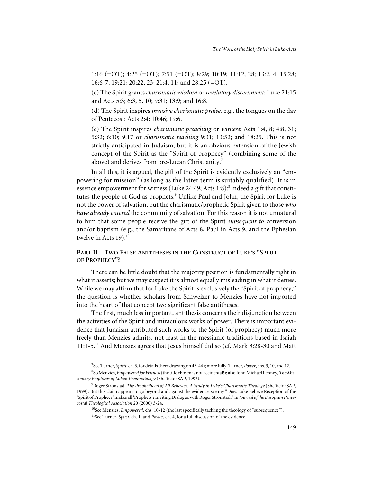1:16 (=OT); 4:25 (=OT); 7:51 (=OT); 8:29; 10:19; 11:12, 28; 13:2, 4; 15:28; 16:6-7; 19:21; 20:22, 23; 21:4, 11; and 28:25 (=OT).

(c) The Spirit grants *charismatic wisdom* or *revelatory discernment*: Luke 21:15 and Acts 5:3; 6:3, 5, 10; 9:31; 13:9; and 16:8.

(d) The Spirit inspires *invasive charismatic praise*, e.g., the tongues on the day of Pentecost: Acts 2:4; 10:46; 19:6.

(e) The Spirit inspires *charismatic preaching* or *witness*: Acts 1:4, 8; 4:8, 31; 5:32; 6:10; 9:17 or *charismatic teaching* 9:31; 13:52; and 18:25. This is not strictly anticipated in Judaism, but it is an obvious extension of the Jewish concept of the Spirit as the "Spirit of prophecy" (combining some of the above) and derives from pre-Lucan Christianity.<sup>7</sup>

In all this, it is argued, the gift of the Spirit is evidently exclusively an "empowering for mission" (as long as the latter term is suitably qualified). It is in essence empowerment for witness (Luke 24:49; Acts 1:8):<sup>8</sup> indeed a gift that constitutes the people of God as prophets.<sup>9</sup> Unlike Paul and John, the Spirit for Luke is not the power of salvation, but the charismatic/prophetic Spirit given to those *who have already entered* the community of salvation. For this reason it is not unnatural to him that some people receive the gift of the Spirit *subsequent to* conversion and/or baptism (e.g., the Samaritans of Acts 8, Paul in Acts 9, and the Ephesian twelve in Acts  $19$ ).<sup>10</sup>

## **PART II—TWO FALSE ANTITHESES IN THE CONSTRUCT OF LUKE'S "SPIRIT OF PROPHECY"?**

There can be little doubt that the majority position is fundamentally right in what it asserts; but we may suspect it is almost equally misleading in what it denies. While we may affirm that for Luke the Spirit is exclusively the "Spirit of prophecy," the question is whether scholars from Schweizer to Menzies have not imported into the heart of that concept two significant false antitheses.

The first, much less important, antithesis concerns their disjunction between the activities of the Spirit and miraculous works of power. There is important evidence that Judaism attributed such works to the Spirit (of prophecy) much more freely than Menzies admits, not least in the messianic traditions based in Isaiah 11:1-5.11 And Menzies agrees that Jesus himself did so (cf. Mark 3:28-30 and Matt

<sup>10</sup>See Menzies, *Empowered*, chs. 10-12 (the last specifically tackling the theology of "subsequence").

<sup>11</sup>See Turner, *Spirit*, ch. 1, and *Power*, ch. 4, for a full discussion of the evidence.

<sup>7</sup> See Turner, *Spirit*, ch. 3, for details (here drawing on 43-44); more fully, Turner, *Power*, chs. 3, 10, and 12.

<sup>8</sup> So Menzies, *Empowered for Witness*(the title chosen is not accidental!); also John Michael Penney,*The Missionary Emphasis of Lukan Pneumatology* (Sheffield: SAP, 1997).

<sup>9</sup> Roger Stronstad, *The Prophethood of All Believers: A Study in Luke's Charismatic Theology* (Sheffield: SAP, 1999). But this claim appears to go beyond and against the evidence: see my "Does Luke Believe Reception of the 'Spirit of Prophecy' makes all 'Prophets'? Inviting Dialogue with Roger Stronstad," in *Journal of the European Pentecostal Theological Association* 20 (2000) 3-24.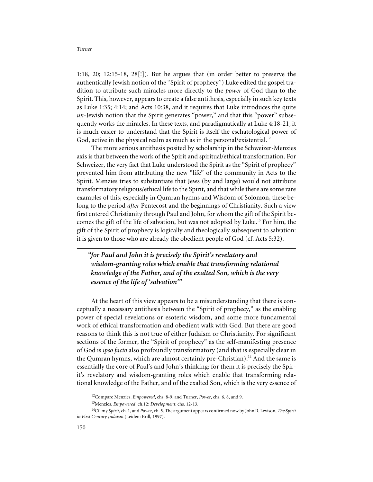1:18, 20; 12:15-18, 28[!]). But he argues that (in order better to preserve the authentically Jewish notion of the "Spirit of prophecy") Luke edited the gospel tradition to attribute such miracles more directly to the *power* of God than to the Spirit. This, however, appears to create a false antithesis, especially in such key texts as Luke 1:35; 4:14; and Acts 10:38, and it requires that Luke introduces the quite *un-*Jewish notion that the Spirit generates "power," and that this "power" subsequently works the miracles. In these texts, and paradigmatically at Luke 4:18-21, it is much easier to understand that the Spirit is itself the eschatological power of God, active in the physical realm as much as in the personal/existential.<sup>12</sup>

The more serious antithesis posited by scholarship in the Schweizer-Menzies axis is that between the work of the Spirit and spiritual/ethical transformation. For Schweizer, the very fact that Luke understood the Spirit as the "Spirit of prophecy" prevented him from attributing the new "life" of the community in Acts to the Spirit. Menzies tries to substantiate that Jews (by and large) would not attribute transformatory religious/ethical life to the Spirit, and that while there are some rare examples of this, especially in Qumran hymns and Wisdom of Solomon, these belong to the period *after* Pentecost and the beginnings of Christianity. Such a view first entered Christianity through Paul and John, for whom the gift of the Spirit becomes the gift of the life of salvation, but was not adopted by Luke.13 For him, the gift of the Spirit of prophecy is logically and theologically subsequent to salvation: it is given to those who are already the obedient people of God (cf. Acts 5:32).

*"for Paul and John it is precisely the Spirit's revelatory and wisdom-granting roles which enable that transforming relational knowledge of the Father, and of the exalted Son, which is the very essence of the life of 'salvation'"*

At the heart of this view appears to be a misunderstanding that there is conceptually a necessary antithesis between the "Spirit of prophecy," as the enabling power of special revelations or esoteric wisdom, and some more fundamental work of ethical transformation and obedient walk with God. But there are good reasons to think this is not true of either Judaism or Christianity. For significant sections of the former, the "Spirit of prophecy" as the self-manifesting presence of God is *ipso facto* also profoundly transformatory (and that is especially clear in the Qumran hymns, which are almost certainly pre-Christian).<sup>14</sup> And the same is essentially the core of Paul's and John's thinking: for them it is precisely the Spirit's revelatory and wisdom-granting roles which enable that transforming relational knowledge of the Father, and of the exalted Son, which is the very essence of

<sup>12</sup>Compare Menzies, *Empowered*, chs. 8-9, and Turner, *Power*, chs. 6, 8, and 9.

<sup>13</sup>Menzies, *Empowered*, ch.12; *Development*, chs. 12-13.

<sup>14</sup>Cf. my *Spirit*, ch. 1, and *Power*, ch. 5. The argument appears confirmed now by John R. Levison, *The Spirit in First Century Judaism* (Leiden: Brill, 1997).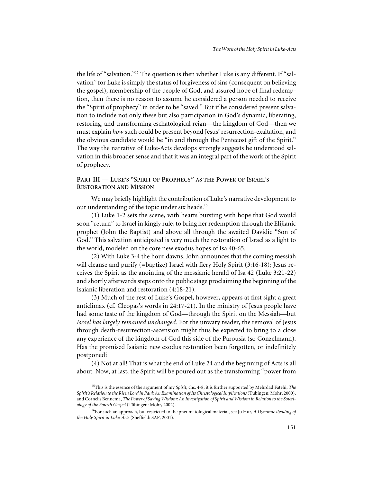the life of "salvation."15 The question is then whether Luke is any different. If "salvation" for Luke is simply the status of forgiveness of sins (consequent on believing the gospel), membership of the people of God, and assured hope of final redemption, then there is no reason to assume he considered a person needed to receive the "Spirit of prophecy" in order to be "saved." But if he considered present salvation to include not only these but also participation in God's dynamic, liberating, restoring, and transforming eschatological reign—the kingdom of God—then we must explain *how* such could be present beyond Jesus' resurrection-exaltation, and the obvious candidate would be "in and through the Pentecost gift of the Spirit." The way the narrative of Luke-Acts develops strongly suggests he understood salvation in this broader sense and that it was an integral part of the work of the Spirit of prophecy.

### **PART III — LUKE'S "SPIRIT OF PROPHECY" AS THE POWER OF ISRAEL'S RESTORATION AND MISSION**

We may briefly highlight the contribution of Luke's narrative development to our understanding of the topic under six heads.<sup>16</sup>

(1) Luke 1-2 sets the scene, with hearts bursting with hope that God would soon "return" to Israel in kingly rule, to bring her redemption through the Elijianic prophet (John the Baptist) and above all through the awaited Davidic "Son of God." This salvation anticipated is very much the restoration of Israel as a light to the world, modeled on the core new exodus hopes of Isa 40-65.

(2) With Luke 3-4 the hour dawns. John announces that the coming messiah will cleanse and purify (=baptize) Israel with fiery Holy Spirit (3:16-18); Jesus receives the Spirit as the anointing of the messianic herald of Isa 42 (Luke 3:21-22) and shortly afterwards steps onto the public stage proclaiming the beginning of the Isaianic liberation and restoration (4:18-21).

(3) Much of the rest of Luke's Gospel, however, appears at first sight a great anticlimax (cf. Cleopas's words in 24:17-21). In the ministry of Jesus people have had some taste of the kingdom of God—through the Spirit on the Messiah—but *Israel has largely remained unchanged*. For the unwary reader, the removal of Jesus through death-resurrection-ascension might thus be expected to bring to a close any experience of the kingdom of God this side of the Parousia (so Conzelmann). Has the promised Isaianic new exodus restoration been forgotten, or indefinitely postponed?

(4) Not at all! That is what the end of Luke 24 and the beginning of Acts is all about. Now, at last, the Spirit will be poured out as the transforming "power from

<sup>15</sup>This is the essence of the argument of my *Spirit*, chs. 4-8; it is further supported by Mehrdad Fatehi, *The Spirit's Relation to the Risen Lord in Paul: An Examination of Its Christological Implications*(Tübingen: Mohr, 2000), and Cornelis Bennema, *The Power of Saving Wisdom: An Investigation of Spirit and Wisdom in Relation to the Soteriology of the Fourth Gospel* (Tübingen: Mohr, 2002).

<sup>16</sup>For such an approach, but restricted to the pneumatological material, see Ju Hur, *A Dynamic Reading of the Holy Spirit in Luke-Acts* (Sheffield: SAP, 2001).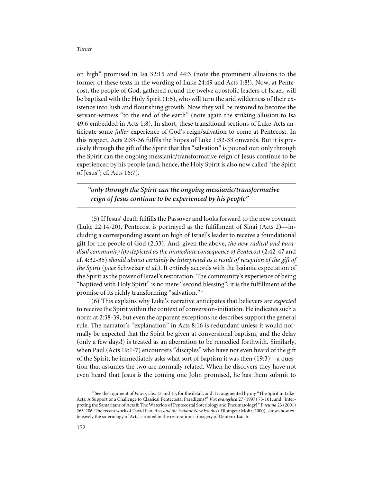on high" promised in Isa 32:15 and 44:3 (note the prominent allusions to the former of these texts in the wording of Luke 24:49 and Acts 1:8!). Now, at Pentecost, the people of God, gathered round the twelve apostolic leaders of Israel, will be baptized with the Holy Spirit (1:5), who will turn the arid wilderness of their existence into lush and flourishing growth. Now they will be restored to become the servant-witness "to the end of the earth" (note again the striking allusion to Isa 49:6 embedded in Acts 1:8). In short, these transitional sections of Luke-Acts anticipate some *fuller* experience of God's reign/salvation to come at Pentecost. In this respect, Acts 2:33-36 fulfils the hopes of Luke 1:32-33 onwards. But it is precisely through the gift of the Spirit that this "salvation" is poured out: only through the Spirit can the ongoing messianic/transformative reign of Jesus continue to be experienced by his people (and, hence, the Holy Spirit is also now called "the Spirit of Jesus"; cf. Acts 16:7).

## *"only through the Spirit can the ongoing messianic/transformative reign of Jesus continue to be experienced by his people"*

(5) If Jesus' death fulfills the Passover and looks forward to the new covenant (Luke 22:14-20), Pentecost is portrayed as the fulfillment of Sinai (Acts 2)—including a corresponding ascent on high of Israel's leader to receive a foundational gift for the people of God (2:33). And, given the above, *the new radical and paradisal community life depicted as the immediate consequence of Pentecost* (2:42-47 and cf. 4:32-35) *should almost certainly be interpreted as a result of reception of the gift of the Spirit* (*pace* Schweizer *et al*.). It entirely accords with the Isaianic expectation of the Spirit as the power of Israel's restoration. The community's experience of being "baptized with Holy Spirit" is no mere "second blessing"; it is the fulfillment of the promise of its richly transforming "salvation."17

(6) This explains why Luke's narrative anticipates that believers are *expected* to receive the Spirit within the context of conversion-initiation. He indicates such a norm at 2:38-39, but even the apparent exceptions he describes support the general rule. The narrator's "explanation" in Acts 8:16 is redundant unless it would normally be expected that the Spirit be given at conversional baptism, and the delay (only a few days!) is treated as an aberration to be remedied forthwith. Similarly, when Paul (Acts 19:1-7) encounters "disciples" who have not even heard of the gift of the Spirit, he immediately asks what sort of baptism it was then (19:3)—a question that assumes the two are normally related. When he discovers they have not even heard that Jesus is the coming one John promised, he has them submit to

<sup>&</sup>lt;sup>17</sup>See the argument of *Power*, chs. 12 and 13, for the detail; and it is augmented by my "The Spirit in Luke-Acts: A Support or a Challenge to Classical Pentecostal Paradigms?" *Vox evangelica* 27 (1997) 75-101, and "Interpreting the Samaritans of Acts 8: The Waterloo of Pentecostal Soteriology and Pneumatology?" *Pneuma* 23 (2001) 265-286. The recent work of David Pao, *Acts and the Isaianic New Exodus* (Tübingen: Mohr, 2000), shows how extensively the soteriology of Acts is rooted in the restorationist imagery of Deutero-Isaiah.